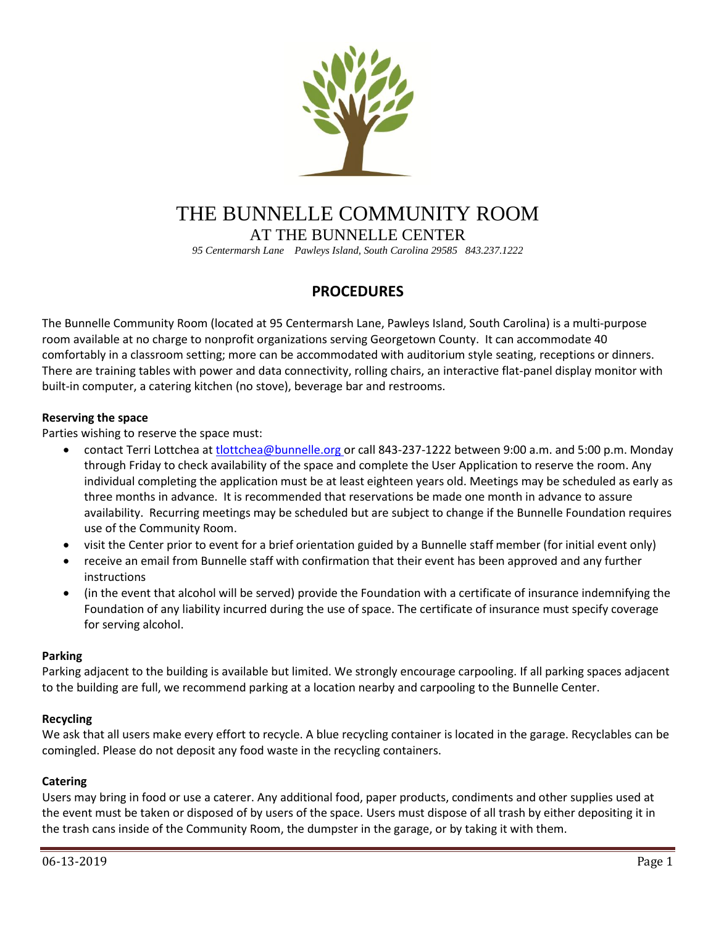

# THE BUNNELLE COMMUNITY ROOM AT THE BUNNELLE CENTER

*95 Centermarsh Lane Pawleys Island, South Carolina 29585 843.237.1222*

# **PROCEDURES**

The Bunnelle Community Room (located at 95 Centermarsh Lane, Pawleys Island, South Carolina) is a multi-purpose room available at no charge to nonprofit organizations serving Georgetown County. It can accommodate 40 comfortably in a classroom setting; more can be accommodated with auditorium style seating, receptions or dinners. There are training tables with power and data connectivity, rolling chairs, an interactive flat-panel display monitor with built-in computer, a catering kitchen (no stove), beverage bar and restrooms.

# **Reserving the space**

Parties wishing to reserve the space must:

- contact Terri Lottchea a[t tlottchea@bunnelle.org](mailto:tlottchea@bunnelle.org) or call 843-237-1222 between 9:00 a.m. and 5:00 p.m. Monday through Friday to check availability of the space and complete the User Application to reserve the room. Any individual completing the application must be at least eighteen years old. Meetings may be scheduled as early as three months in advance. It is recommended that reservations be made one month in advance to assure availability. Recurring meetings may be scheduled but are subject to change if the Bunnelle Foundation requires use of the Community Room.
- visit the Center prior to event for a brief orientation guided by a Bunnelle staff member (for initial event only)
- receive an email from Bunnelle staff with confirmation that their event has been approved and any further instructions
- (in the event that alcohol will be served) provide the Foundation with a certificate of insurance indemnifying the Foundation of any liability incurred during the use of space. The certificate of insurance must specify coverage for serving alcohol.

# **Parking**

Parking adjacent to the building is available but limited. We strongly encourage carpooling. If all parking spaces adjacent to the building are full, we recommend parking at a location nearby and carpooling to the Bunnelle Center.

# **Recycling**

We ask that all users make every effort to recycle. A blue recycling container is located in the garage. Recyclables can be comingled. Please do not deposit any food waste in the recycling containers.

# **Catering**

Users may bring in food or use a caterer. Any additional food, paper products, condiments and other supplies used at the event must be taken or disposed of by users of the space. Users must dispose of all trash by either depositing it in the trash cans inside of the Community Room, the dumpster in the garage, or by taking it with them.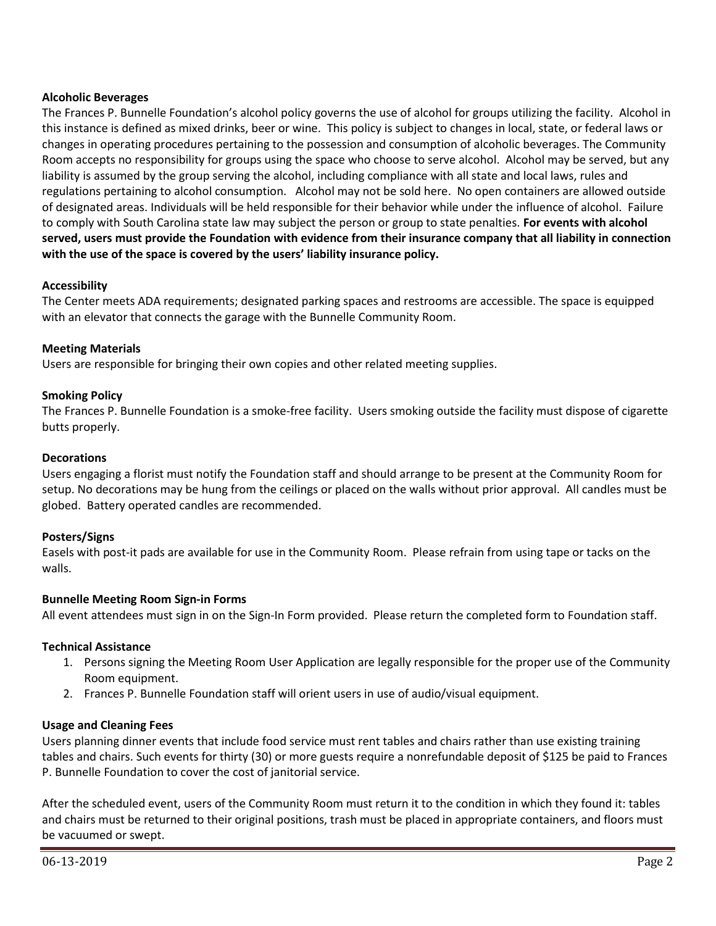# **Alcoholic Beverages**

The Frances P. Bunnelle Foundation's alcohol policy governs the use of alcohol for groups utilizing the facility. Alcohol in this instance is defined as mixed drinks, beer or wine. This policy is subject to changes in local, state, or federal laws or changes in operating procedures pertaining to the possession and consumption of alcoholic beverages. The Community Room accepts no responsibility for groups using the space who choose to serve alcohol. Alcohol may be served, but any liability is assumed by the group serving the alcohol, including compliance with all state and local laws, rules and regulations pertaining to alcohol consumption. Alcohol may not be sold here. No open containers are allowed outside of designated areas. Individuals will be held responsible for their behavior while under the influence of alcohol. Failure to comply with South Carolina state law may subject the person or group to state penalties. **For events with alcohol served, users must provide the Foundation with evidence from their insurance company that all liability in connection with the use of the space is covered by the users' liability insurance policy.**

# **Accessibility**

The Center meets ADA requirements; designated parking spaces and restrooms are accessible. The space is equipped with an elevator that connects the garage with the Bunnelle Community Room.

# **Meeting Materials**

Users are responsible for bringing their own copies and other related meeting supplies.

# **Smoking Policy**

The Frances P. Bunnelle Foundation is a smoke-free facility. Users smoking outside the facility must dispose of cigarette butts properly.

### **Decorations**

Users engaging a florist must notify the Foundation staff and should arrange to be present at the Community Room for setup. No decorations may be hung from the ceilings or placed on the walls without prior approval. All candles must be globed. Battery operated candles are recommended.

# **Posters/Signs**

Easels with post-it pads are available for use in the Community Room. Please refrain from using tape or tacks on the walls.

#### **Bunnelle Meeting Room Sign-in Forms**

All event attendees must sign in on the Sign-In Form provided. Please return the completed form to Foundation staff.

# **Technical Assistance**

- 1. Persons signing the Meeting Room User Application are legally responsible for the proper use of the Community Room equipment.
- 2. Frances P. Bunnelle Foundation staff will orient users in use of audio/visual equipment.

#### **Usage and Cleaning Fees**

Users planning dinner events that include food service must rent tables and chairs rather than use existing training tables and chairs. Such events for thirty (30) or more guests require a nonrefundable deposit of \$125 be paid to Frances P. Bunnelle Foundation to cover the cost of janitorial service.

After the scheduled event, users of the Community Room must return it to the condition in which they found it: tables and chairs must be returned to their original positions, trash must be placed in appropriate containers, and floors must be vacuumed or swept.